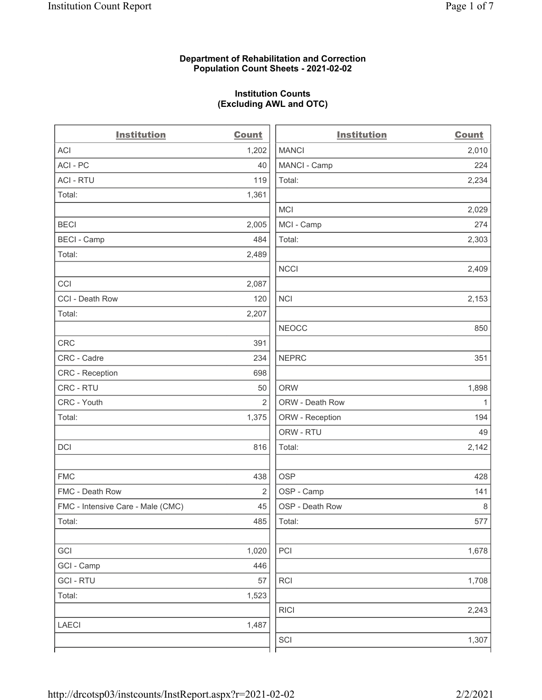#### Department of Rehabilitation and Correction Population Count Sheets - 2021-02-02

### Institution Counts (Excluding AWL and OTC)

. .

| <b>Institution</b>                | <b>Count</b>   | <b>Institution</b> | <b>Count</b> |
|-----------------------------------|----------------|--------------------|--------------|
| <b>ACI</b>                        | 1,202          | <b>MANCI</b>       | 2,010        |
| ACI-PC                            | 40             | MANCI - Camp       | 224          |
| <b>ACI - RTU</b>                  | 119            | Total:             | 2,234        |
| Total:                            | 1,361          |                    |              |
|                                   |                | MCI                | 2,029        |
| <b>BECI</b>                       | 2,005          | MCI - Camp         | 274          |
| <b>BECI - Camp</b>                | 484            | Total:             | 2,303        |
| Total:                            | 2,489          |                    |              |
|                                   |                | <b>NCCI</b>        | 2,409        |
| CCI                               | 2,087          |                    |              |
| CCI - Death Row                   | 120            | <b>NCI</b>         | 2,153        |
| Total:                            | 2,207          |                    |              |
|                                   |                | <b>NEOCC</b>       | 850          |
| <b>CRC</b>                        | 391            |                    |              |
| CRC - Cadre                       | 234            | <b>NEPRC</b>       | 351          |
| <b>CRC</b> - Reception            | 698            |                    |              |
| CRC - RTU                         | 50             | <b>ORW</b>         | 1,898        |
| CRC - Youth                       | $\overline{2}$ | ORW - Death Row    | $\mathbf{1}$ |
| Total:                            | 1,375          | ORW - Reception    | 194          |
|                                   |                | ORW - RTU          | 49           |
| DCI                               | 816            | Total:             | 2,142        |
| <b>FMC</b>                        | 438            | <b>OSP</b>         | 428          |
| FMC - Death Row                   | 2              | OSP - Camp         | 141          |
| FMC - Intensive Care - Male (CMC) | 45             | OSP - Death Row    | 8            |
| Total:                            | 485            | Total:             | 577          |
| GCI                               | 1,020          | PCI                | 1,678        |
| GCI - Camp                        | 446            |                    |              |
| <b>GCI-RTU</b>                    | 57             | $\sf RCI$          | 1,708        |
| Total:                            | 1,523          |                    |              |
|                                   |                | <b>RICI</b>        | 2,243        |
| LAECI                             | 1,487          |                    |              |
|                                   |                | SCI                | 1,307        |
|                                   |                |                    |              |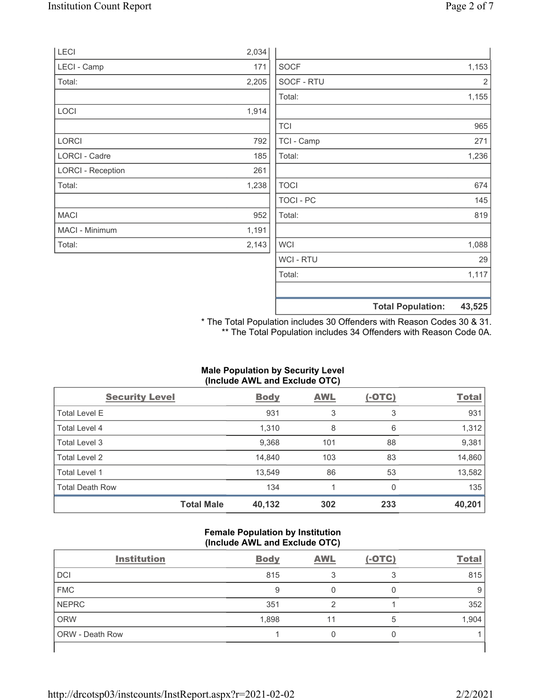|                          |       |             | <b>Total Population:</b> | 43,525         |
|--------------------------|-------|-------------|--------------------------|----------------|
|                          |       |             |                          |                |
|                          |       | Total:      |                          | 1,117          |
|                          |       | WCI - RTU   |                          | 29             |
| Total:                   | 2,143 | <b>WCI</b>  |                          | 1,088          |
| MACI - Minimum           | 1,191 |             |                          |                |
| <b>MACI</b>              | 952   | Total:      |                          | 819            |
|                          |       | TOCI - PC   |                          | 145            |
| Total:                   | 1,238 | <b>TOCI</b> |                          | 674            |
| <b>LORCI - Reception</b> | 261   |             |                          |                |
| LORCI - Cadre            | 185   | Total:      |                          | 1,236          |
| <b>LORCI</b>             | 792   | TCI - Camp  |                          | 271            |
|                          |       | <b>TCI</b>  |                          | 965            |
| LOCI                     | 1,914 |             |                          |                |
|                          |       | Total:      |                          | 1,155          |
| Total:                   | 2,205 | SOCF - RTU  |                          | $\overline{2}$ |
| LECI - Camp              | 171   | <b>SOCF</b> |                          | 1,153          |
| LECI                     | 2,034 |             |                          |                |

\* The Total Population includes 30 Offenders with Reason Codes 30 & 31. \*\* The Total Population includes 34 Offenders with Reason Code 0A.

# Male Population by Security Level (Include AWL and Exclude OTC)

| <b>Security Level</b>  |                   | <b>Body</b> | <b>AWL</b> | $(-OTC)$ | <b>Total</b> |
|------------------------|-------------------|-------------|------------|----------|--------------|
| <b>Total Level E</b>   |                   | 931         | 3          | 3        | 931          |
| Total Level 4          |                   | 1,310       | 8          | 6        | 1,312        |
| Total Level 3          |                   | 9,368       | 101        | 88       | 9,381        |
| Total Level 2          |                   | 14,840      | 103        | 83       | 14,860       |
| Total Level 1          |                   | 13,549      | 86         | 53       | 13,582       |
| <b>Total Death Row</b> |                   | 134         |            | 0        | 135          |
|                        | <b>Total Male</b> | 40,132      | 302        | 233      | 40,201       |

### Female Population by Institution (Include AWL and Exclude OTC)

| <b>Institution</b> | <b>Body</b> | <b>AWL</b> | $(-OTC)$ | <b>Total</b> |
|--------------------|-------------|------------|----------|--------------|
| <b>DCI</b>         | 815         |            | ◠        | 815          |
| <b>FMC</b>         | 9           |            |          |              |
| <b>NEPRC</b>       | 351         |            |          | 352          |
| <b>ORW</b>         | 1,898       |            | 5        | 1,904        |
| ORW - Death Row    |             |            |          |              |
|                    |             |            |          |              |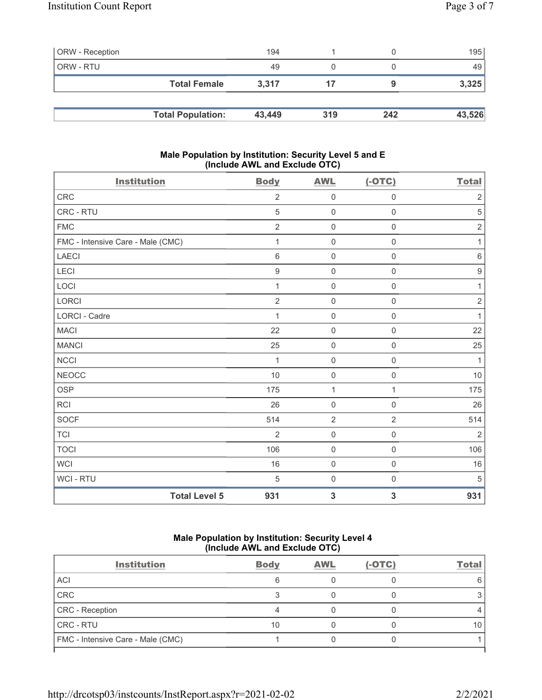| <b>ORW</b> - Reception |                          | 194    |     |     | 195    |
|------------------------|--------------------------|--------|-----|-----|--------|
| ORW - RTU              |                          | 49     |     |     | 49     |
|                        | <b>Total Female</b>      | 3.317  |     |     | 3,325  |
|                        |                          |        |     |     |        |
|                        | <b>Total Population:</b> | 43,449 | 319 | 242 | 43,526 |

#### Male Population by Institution: Security Level 5 and E (Include AWL and Exclude OTC)

| <b>Institution</b>                | <b>Body</b>      | <b>AWL</b>          | $(-OTC)$            | <b>Total</b>     |
|-----------------------------------|------------------|---------------------|---------------------|------------------|
| CRC                               | $\overline{2}$   | $\mathbf 0$         | $\mathsf{O}\xspace$ | $\sqrt{2}$       |
| CRC - RTU                         | 5                | $\mathbf 0$         | $\mathbf 0$         | $\sqrt{5}$       |
| <b>FMC</b>                        | $\overline{2}$   | $\mathsf{O}\xspace$ | $\mathsf{O}\xspace$ | $\sqrt{2}$       |
| FMC - Intensive Care - Male (CMC) | 1                | $\mathbf 0$         | $\mathsf{O}\xspace$ | $\mathbf{1}$     |
| <b>LAECI</b>                      | $\,6$            | $\mathbf 0$         | 0                   | $\,6\,$          |
| LECI                              | $\boldsymbol{9}$ | $\mathsf{O}\xspace$ | $\mathbf 0$         | $\boldsymbol{9}$ |
| LOCI                              | 1                | $\mathbf 0$         | $\mathsf{O}\xspace$ | $\mathbf{1}$     |
| <b>LORCI</b>                      | $\overline{2}$   | $\mathbf 0$         | $\mathbf 0$         | $\sqrt{2}$       |
| <b>LORCI - Cadre</b>              | 1                | $\mathbf 0$         | $\mathbf 0$         | $\mathbf{1}$     |
| <b>MACI</b>                       | 22               | $\mathbf 0$         | $\mathsf{O}\xspace$ | 22               |
| <b>MANCI</b>                      | 25               | $\mathbf 0$         | $\mathbf 0$         | 25               |
| <b>NCCI</b>                       | 1                | $\mathbf 0$         | $\mathbf 0$         | $\mathbf{1}$     |
| <b>NEOCC</b>                      | 10               | $\mathsf{O}\xspace$ | $\mathsf{O}\xspace$ | 10               |
| <b>OSP</b>                        | 175              | $\mathbf{1}$        | 1                   | 175              |
| <b>RCI</b>                        | 26               | $\mathbf 0$         | $\mathbf 0$         | 26               |
| <b>SOCF</b>                       | 514              | $\overline{2}$      | $\overline{2}$      | 514              |
| TCI                               | $\overline{2}$   | $\mathbf 0$         | $\mathbf 0$         | $\sqrt{2}$       |
| <b>TOCI</b>                       | 106              | $\mathbf 0$         | $\mathbf 0$         | 106              |
| <b>WCI</b>                        | 16               | $\mathsf{O}\xspace$ | $\mathsf{O}\xspace$ | 16               |
| WCI - RTU                         | $\,$ 5 $\,$      | $\mathbf 0$         | $\boldsymbol{0}$    | $\sqrt{5}$       |
| <b>Total Level 5</b>              | 931              | $\mathbf{3}$        | 3                   | 931              |

## Male Population by Institution: Security Level 4 (Include AWL and Exclude OTC)

| <b>Institution</b>                | <b>Body</b> | <b>AWL</b> | $(-OTC)$ | Total |
|-----------------------------------|-------------|------------|----------|-------|
| ACI                               |             |            |          |       |
| CRC                               |             |            |          |       |
| CRC - Reception                   |             |            |          |       |
| CRC - RTU                         | 10          |            |          |       |
| FMC - Intensive Care - Male (CMC) |             |            |          |       |
|                                   |             |            |          |       |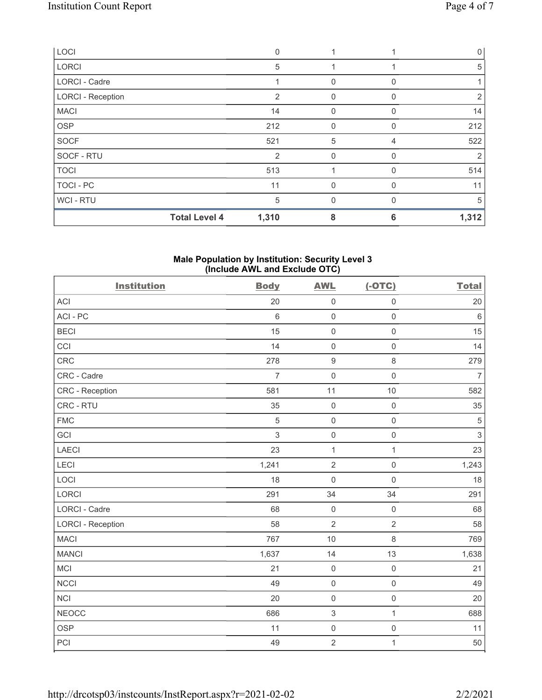| LOCI                     |                      | $\Omega$ |              |          | $\mathbf{0}$ |
|--------------------------|----------------------|----------|--------------|----------|--------------|
| <b>LORCI</b>             |                      | 5        |              |          | 5            |
| <b>LORCI - Cadre</b>     |                      |          | $\mathbf{0}$ | $\Omega$ |              |
| <b>LORCI - Reception</b> |                      | 2        | $\mathbf{0}$ | 0        | 2            |
| <b>MACI</b>              |                      | 14       | $\mathbf 0$  | 0        | 14           |
| <b>OSP</b>               |                      | 212      | $\mathbf 0$  | 0        | 212          |
| <b>SOCF</b>              |                      | 521      | 5            | 4        | 522          |
| SOCF - RTU               |                      | 2        | $\mathbf{0}$ | 0        | 2            |
| <b>TOCI</b>              |                      | 513      | 1            | $\Omega$ | 514          |
| TOCI - PC                |                      | 11       | $\mathbf{0}$ | 0        | 11           |
| WCI - RTU                |                      | 5        | $\Omega$     | $\Omega$ | 5            |
|                          | <b>Total Level 4</b> | 1,310    | 8            | 6        | 1,312        |

#### Male Population by Institution: Security Level 3 (Include AWL and Exclude OTC)

| <b>Institution</b>       | <b>Body</b>    | <b>AWL</b>       | $(-OTC)$            | <b>Total</b>   |
|--------------------------|----------------|------------------|---------------------|----------------|
| ACI                      | 20             | $\mathbf 0$      | $\mathsf{O}\xspace$ | 20             |
| ACI-PC                   | $6\,$          | $\mathsf 0$      | $\mathsf 0$         | $\,6\,$        |
| <b>BECI</b>              | 15             | $\mathbf 0$      | $\mathsf 0$         | 15             |
| CCI                      | 14             | $\mathbf 0$      | $\mathsf 0$         | 14             |
| CRC                      | 278            | $\boldsymbol{9}$ | $\,8\,$             | 279            |
| CRC - Cadre              | $\overline{7}$ | $\mathbf 0$      | $\mathsf 0$         | $\overline{7}$ |
| CRC - Reception          | 581            | 11               | 10                  | 582            |
| CRC - RTU                | 35             | $\mathbf 0$      | $\mathsf 0$         | 35             |
| <b>FMC</b>               | 5              | $\mathbf 0$      | $\mathsf{O}\xspace$ | $\sqrt{5}$     |
| GCI                      | 3              | $\mathbf 0$      | $\mathsf{O}\xspace$ | $\,$ 3 $\,$    |
| <b>LAECI</b>             | 23             | $\mathbf{1}$     | $\mathbf{1}$        | 23             |
| LECI                     | 1,241          | $\sqrt{2}$       | $\mathsf{O}\xspace$ | 1,243          |
| LOCI                     | 18             | $\mathbf 0$      | $\mathsf{O}\xspace$ | 18             |
| LORCI                    | 291            | 34               | 34                  | 291            |
| LORCI - Cadre            | 68             | $\mathbf 0$      | $\mathsf{O}\xspace$ | 68             |
| <b>LORCI - Reception</b> | 58             | $\overline{2}$   | $\overline{2}$      | 58             |
| <b>MACI</b>              | 767            | 10               | 8                   | 769            |
| <b>MANCI</b>             | 1,637          | 14               | 13                  | 1,638          |
| <b>MCI</b>               | 21             | $\mathbf 0$      | $\mathsf{O}\xspace$ | 21             |
| <b>NCCI</b>              | 49             | $\mathbf 0$      | $\mathsf{O}\xspace$ | 49             |
| <b>NCI</b>               | 20             | $\mathbf 0$      | $\mathsf{O}\xspace$ | 20             |
| <b>NEOCC</b>             | 686            | $\,$ 3 $\,$      | $\mathbf{1}$        | 688            |
| <b>OSP</b>               | 11             | $\mathbf 0$      | $\boldsymbol{0}$    | 11             |
| PCI                      | 49             | $\mathbf 2$      | $\mathbf{1}$        | 50             |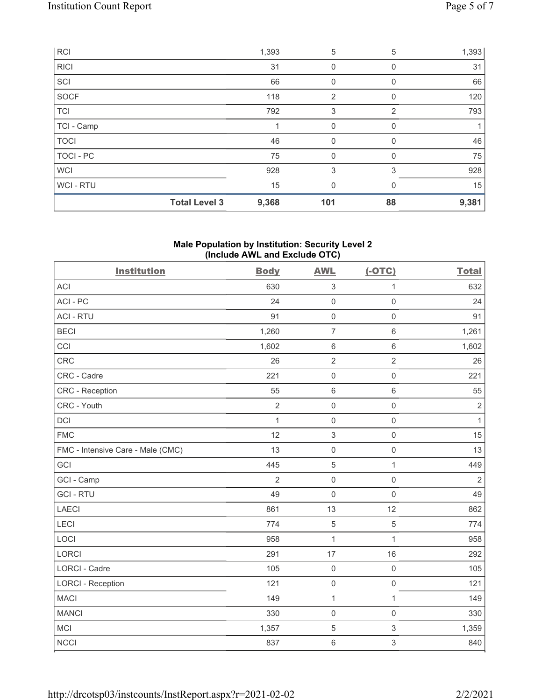|             | <b>Total Level 3</b> | 9,368 | 101            | 88 | 9,381 |
|-------------|----------------------|-------|----------------|----|-------|
| WCI - RTU   |                      | 15    | 0              |    | 15    |
| <b>WCI</b>  |                      | 928   | 3              | 3  | 928   |
| TOCI - PC   |                      | 75    | 0              |    | 75    |
| <b>TOCI</b> |                      | 46    | 0              |    | 46    |
| TCI - Camp  |                      |       | 0              | 0  |       |
| <b>TCI</b>  |                      | 792   | 3              | 2  | 793   |
| SOCF        |                      | 118   | $\overline{2}$ | 0  | 120   |
| SCI         |                      | 66    | 0              |    | 66    |
| <b>RICI</b> |                      | 31    | 0              | 0  | 31    |
| <b>RCI</b>  |                      | 1,393 | 5              | 5  | 1,393 |

### Male Population by Institution: Security Level 2 (Include AWL and Exclude OTC)

| <b>Institution</b>                | <b>Body</b>    | <b>AWL</b>          | $(-OTC)$            | <b>Total</b>   |
|-----------------------------------|----------------|---------------------|---------------------|----------------|
| <b>ACI</b>                        | 630            | $\sqrt{3}$          | 1                   | 632            |
| ACI-PC                            | 24             | $\mathsf 0$         | $\mathsf{O}\xspace$ | 24             |
| <b>ACI - RTU</b>                  | 91             | $\mathsf 0$         | $\mathsf{O}\xspace$ | 91             |
| <b>BECI</b>                       | 1,260          | $\overline{7}$      | $\,6\,$             | 1,261          |
| CCI                               | 1,602          | $\,6\,$             | $\,6$               | 1,602          |
| CRC                               | 26             | $\sqrt{2}$          | $\sqrt{2}$          | 26             |
| CRC - Cadre                       | 221            | $\mathsf 0$         | $\mathsf{O}\xspace$ | 221            |
| <b>CRC</b> - Reception            | 55             | $\,6\,$             | $\,6\,$             | 55             |
| CRC - Youth                       | $\overline{2}$ | $\mathsf 0$         | $\mathsf{O}\xspace$ | $\sqrt{2}$     |
| <b>DCI</b>                        | $\mathbf{1}$   | $\mathsf 0$         | $\mathsf 0$         | $\mathbf{1}$   |
| <b>FMC</b>                        | 12             | $\,$ 3 $\,$         | $\mathsf{O}\xspace$ | 15             |
| FMC - Intensive Care - Male (CMC) | 13             | $\mathsf 0$         | $\mathsf 0$         | 13             |
| GCI                               | 445            | $\mathbf 5$         | $\mathbf{1}$        | 449            |
| GCI - Camp                        | $\overline{2}$ | $\mathsf 0$         | $\mathsf{O}\xspace$ | $\overline{2}$ |
| <b>GCI - RTU</b>                  | 49             | $\mathbf 0$         | $\mathsf{O}\xspace$ | 49             |
| <b>LAECI</b>                      | 861            | 13                  | 12                  | 862            |
| LECI                              | 774            | $\sqrt{5}$          | $\mathbf 5$         | 774            |
| LOCI                              | 958            | $\mathbf{1}$        | $\mathbf 1$         | 958            |
| LORCI                             | 291            | 17                  | 16                  | 292            |
| <b>LORCI - Cadre</b>              | 105            | $\mathsf{O}\xspace$ | $\mathsf 0$         | 105            |
| <b>LORCI - Reception</b>          | 121            | $\mathsf{O}\xspace$ | $\mathsf{O}\xspace$ | 121            |
| <b>MACI</b>                       | 149            | $\mathbf{1}$        | $\mathbf 1$         | 149            |
| <b>MANCI</b>                      | 330            | $\mathsf 0$         | $\mathsf{O}\xspace$ | 330            |
| MCI                               | 1,357          | $\mathbf 5$         | $\,$ 3 $\,$         | 1,359          |
| <b>NCCI</b>                       | 837            | $\,6\,$             | 3                   | 840            |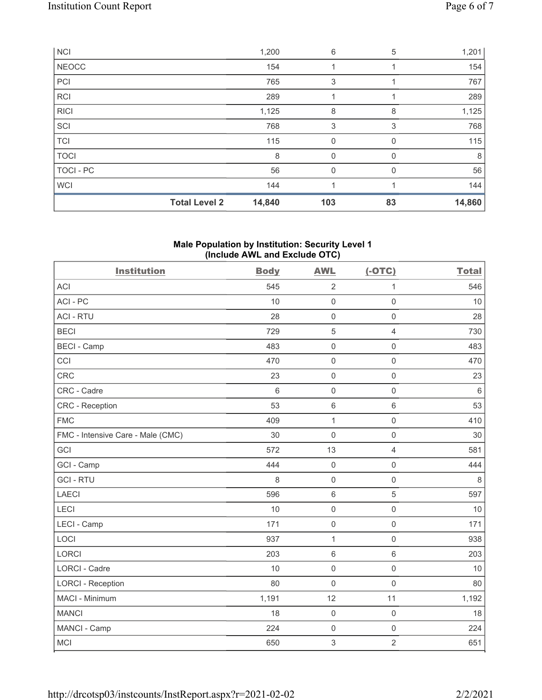| <b>NCI</b>   |                      | 1,200  | 6           | 5        | 1,201  |
|--------------|----------------------|--------|-------------|----------|--------|
| <b>NEOCC</b> |                      | 154    |             |          | 154    |
| PCI          |                      | 765    | 3           |          | 767    |
| <b>RCI</b>   |                      | 289    |             |          | 289    |
| <b>RICI</b>  |                      | 1,125  | 8           | 8        | 1,125  |
| SCI          |                      | 768    | 3           | 3        | 768    |
| <b>TCI</b>   |                      | 115    | $\mathbf 0$ | $\Omega$ | 115    |
| <b>TOCI</b>  |                      | 8      | 0           | 0        | 8      |
| TOCI - PC    |                      | 56     | $\mathbf 0$ | $\Omega$ | 56     |
| <b>WCI</b>   |                      | 144    |             |          | 144    |
|              | <b>Total Level 2</b> | 14,840 | 103         | 83       | 14,860 |

## Male Population by Institution: Security Level 1 (Include AWL and Exclude OTC)

| <b>Institution</b>                | <b>Body</b> | <b>AWL</b>          | $(-OTC)$            | <b>Total</b> |
|-----------------------------------|-------------|---------------------|---------------------|--------------|
| <b>ACI</b>                        | 545         | $\overline{2}$      | 1                   | 546          |
| ACI-PC                            | 10          | $\mathbf 0$         | $\mathbf 0$         | 10           |
| <b>ACI - RTU</b>                  | 28          | $\mathbf 0$         | $\mathbf 0$         | 28           |
| <b>BECI</b>                       | 729         | 5                   | $\overline{4}$      | 730          |
| <b>BECI - Camp</b>                | 483         | $\mathbf 0$         | $\mathsf{O}\xspace$ | 483          |
| CCI                               | 470         | $\mathsf{O}\xspace$ | $\mathsf{O}\xspace$ | 470          |
| <b>CRC</b>                        | 23          | $\mathsf{O}\xspace$ | $\mathsf{O}\xspace$ | 23           |
| CRC - Cadre                       | 6           | $\mathsf{O}\xspace$ | $\mathsf{O}\xspace$ | $6\,$        |
| <b>CRC</b> - Reception            | 53          | $\,6\,$             | $6\,$               | 53           |
| <b>FMC</b>                        | 409         | $\mathbf{1}$        | $\mathsf 0$         | 410          |
| FMC - Intensive Care - Male (CMC) | 30          | $\mathsf{O}\xspace$ | $\mathbf 0$         | 30           |
| GCI                               | 572         | 13                  | $\overline{4}$      | 581          |
| GCI - Camp                        | 444         | $\mathsf{O}\xspace$ | $\mathsf{O}\xspace$ | 444          |
| <b>GCI-RTU</b>                    | 8           | $\mathsf{O}\xspace$ | $\mathsf{O}\xspace$ | $\,8\,$      |
| <b>LAECI</b>                      | 596         | $\,6\,$             | $\sqrt{5}$          | 597          |
| LECI                              | 10          | $\mathbf 0$         | $\mathsf{O}\xspace$ | 10           |
| LECI - Camp                       | 171         | $\mathbf 0$         | $\mathsf{O}\xspace$ | 171          |
| LOCI                              | 937         | 1                   | $\mathbf 0$         | 938          |
| <b>LORCI</b>                      | 203         | $\,6\,$             | $\,6\,$             | 203          |
| <b>LORCI - Cadre</b>              | 10          | $\mathsf{O}\xspace$ | $\mathsf 0$         | 10           |
| <b>LORCI - Reception</b>          | 80          | $\mathbf 0$         | $\mathbf 0$         | 80           |
| MACI - Minimum                    | 1,191       | 12                  | 11                  | 1,192        |
| <b>MANCI</b>                      | 18          | $\mathbf 0$         | $\mathsf{O}\xspace$ | 18           |
| MANCI - Camp                      | 224         | $\mathsf{O}\xspace$ | $\mathsf 0$         | 224          |
| MCI                               | 650         | $\sqrt{3}$          | $\overline{2}$      | 651          |